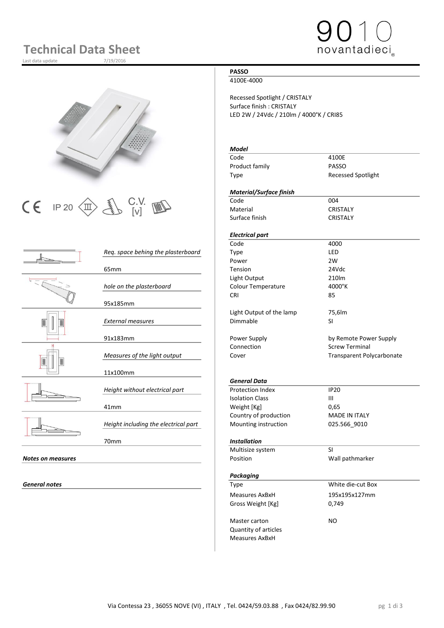# **Technical Data Sheet**

Last data update





 $CE$  IP 20  $\left(\frac{1}{10}\right)$   $\left(\frac{2}{10}\right)$  C.V.  $\frac{1}{10}$   $\left(\frac{1}{10}\right)$   $\left(\frac{1}{100}$   $\frac{1}{100}$   $\left(\frac{1}{100}$   $\frac{1}{100}$   $\frac{1}{100}$   $\frac{1}{100}$   $\left(\frac{1}{100}$   $\frac{1}{100}$   $\frac{1}{100}$   $\frac{1}{100}$   $\left(\frac{1}{100}$   $\frac{1}{100}$ 

|                          | Req. space behing the plasterboard   | Type                     | LED                     |
|--------------------------|--------------------------------------|--------------------------|-------------------------|
|                          |                                      | Power                    | 2W                      |
|                          | 65 <sub>mm</sub>                     | Tension                  | 24Vdc                   |
|                          |                                      | Light Output             | 210lm                   |
|                          | hole on the plasterboard             | Colour Temperature       | 4000°K                  |
|                          |                                      | <b>CRI</b>               | 85                      |
|                          | 95x185mm                             |                          |                         |
|                          |                                      | Light Output of the lamp | 75,6lm                  |
|                          | <b>External measures</b>             | Dimmable                 | <b>SI</b>               |
|                          |                                      |                          |                         |
|                          | 91x183mm                             | Power Supply             | by Remote Powe          |
|                          |                                      | Connection               | <b>Screw Terminal</b>   |
|                          | Measures of the light output         | Cover                    | <b>Transparent Poly</b> |
|                          |                                      |                          |                         |
|                          | 11x100mm                             |                          |                         |
|                          |                                      | <b>General Data</b>      |                         |
|                          | Height without electrical part       | <b>Protection Index</b>  | <b>IP20</b>             |
|                          |                                      | <b>Isolation Class</b>   | $\mathbf{III}$          |
|                          | 41mm                                 | Weight [Kg]              | 0,65                    |
|                          |                                      | Country of production    | <b>MADE IN ITALY</b>    |
|                          | Height including the electrical part | Mounting instruction     | 025.566_9010            |
|                          |                                      |                          |                         |
|                          | 70mm                                 | <b>Installation</b>      |                         |
|                          |                                      | Multisize system         | <b>SI</b>               |
| <b>Notes on measures</b> |                                      | Position                 | Wall pathmarker         |
|                          |                                      |                          |                         |
|                          |                                      |                          |                         |

**General notes** 

# **PASSO**

### 4100E-4000

Recessed Spotlight / CRISTALY Surface finish : CRISTALY LED 2W / 24Vdc / 210lm / 4000°K / CRI85

# *Model*

| Code           | 4100E                     |
|----------------|---------------------------|
| Product family | PASSO                     |
| Type           | <b>Recessed Spotlight</b> |

### *Material/Surface finish*

Material CRISTALY Surface finish CRISTALY

# *Electrical part*

|                                    | Code                     | 4000                             |
|------------------------------------|--------------------------|----------------------------------|
| Reg. space behing the plasterboard | <b>Type</b>              | LED                              |
|                                    | Power                    | 2W                               |
| 65 <sub>mm</sub>                   | <b>Tension</b>           | 24Vdc                            |
|                                    | Light Output             | 210lm                            |
| hole on the plasterboard           | Colour Temperature       | 4000°K                           |
|                                    | <b>CRI</b>               | 85                               |
| 95x185mm                           |                          |                                  |
|                                    | Light Output of the lamp | 75,6lm                           |
| <b>External measures</b>           | Dimmable                 | SI                               |
| 91x183mm                           | Power Supply             | by Remote Power Supply           |
|                                    | Connection               | <b>Screw Terminal</b>            |
| Measures of the light output       | Cover                    | <b>Transparent Polycarbonate</b> |

# *General Data*

| Height without electrical part       | Protection Index       | IP 20                |  |
|--------------------------------------|------------------------|----------------------|--|
|                                      | <b>Isolation Class</b> | Ш                    |  |
| 41mm                                 | Weight [Kg]            | 0.65                 |  |
|                                      | Country of production  | <b>MADE IN ITALY</b> |  |
| Height including the electrical part | Mounting instruction   | 025.566 9010         |  |

### 70mm *Installation*

| Multisize system            | SI                |
|-----------------------------|-------------------|
| Position                    | Wall pathmarker   |
|                             |                   |
| Packaging                   |                   |
| Type                        | White die-cut Box |
| Measures AxBxH              | 195x195x127mm     |
| Gross Weight [Kg]           | 0,749             |
| Master carton               | NO.               |
|                             |                   |
| <b>Quantity of articles</b> |                   |
| Measures AxBxH              |                   |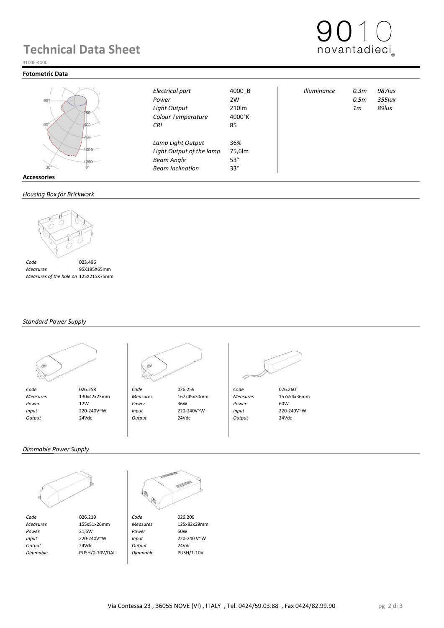# **Technical Data Sheet**



### **Fotometric Data**



| $-90^\circ$<br>250<br>$60^\circ$<br>500         | Electrical part<br>Power<br>Light Output<br>Colour Temperature<br>CRI                         | 4000 B<br>2W<br>210lm<br>4000°K<br>85     | <b>Illuminance</b> | 0.3m<br>0.5m<br>1 <sub>m</sub> | 987lux<br>$355$ lux<br>89lux |
|-------------------------------------------------|-----------------------------------------------------------------------------------------------|-------------------------------------------|--------------------|--------------------------------|------------------------------|
| 750<br>1000<br>1250<br>30<br><b>Accessories</b> | Lamp Light Output<br>Light Output of the lamp<br><b>Beam Angle</b><br><b>Beam Inclination</b> | 36%<br>75,6lm<br>$53^\circ$<br>$33^\circ$ |                    |                                |                              |

### *Housing Box for Brickwork*



 *Measures* 95X185X65mm  *Measures of the hole on Brickwork* 125X215X75mm

### *Standard Power Supply*





 *Measures* 130x42x23mm *Measures* 167x45x30mm *Measures* 157x54x36mm  *Power* 12W *Power* 36W *Power* 60W  *Input* 220-240V~W *Input* 220-240V~W *Input* 220-240V~W  *Output* 24Vdc *Output* 24Vdc *Output* 24Vdc



### *Dimmable Power Supply*



*Code* 026.219 **Code** 026.209<br> *Measures* 155x51x26mm *Measures* 125x82x29mm  *Measures* 155x51x26mm *Measures* 125x82x29mm  *Power* 21,6W *Power* 60W  *Input* 220-240V~W *Input* 220-240 V~W  *Output* 24Vdc *Output* 24Vdc

 *Dimmable* PUSH/0-10V/DALI *Dimmable* PUSH/1-10V